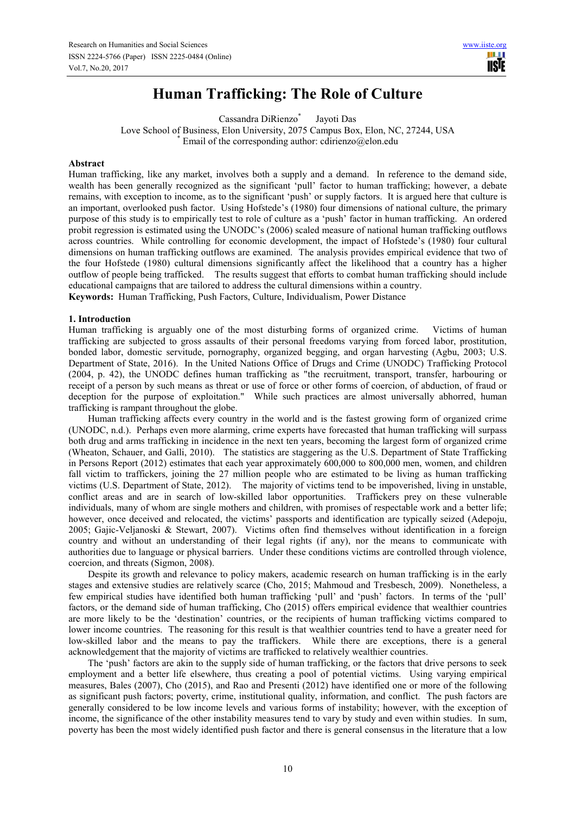# **Human Trafficking: The Role of Culture**

Cassandra DiRienzo<sup>\*</sup> Jayoti Das

Love School of Business, Elon University, 2075 Campus Box, Elon, NC, 27244, USA \* Email of the corresponding author: cdirienzo@elon.edu

## **Abstract**

Human trafficking, like any market, involves both a supply and a demand. In reference to the demand side, wealth has been generally recognized as the significant 'pull' factor to human trafficking; however, a debate remains, with exception to income, as to the significant 'push' or supply factors. It is argued here that culture is an important, overlooked push factor. Using Hofstede's (1980) four dimensions of national culture, the primary purpose of this study is to empirically test to role of culture as a 'push' factor in human trafficking. An ordered probit regression is estimated using the UNODC's (2006) scaled measure of national human trafficking outflows across countries. While controlling for economic development, the impact of Hofstede's (1980) four cultural dimensions on human trafficking outflows are examined. The analysis provides empirical evidence that two of the four Hofstede (1980) cultural dimensions significantly affect the likelihood that a country has a higher outflow of people being trafficked. The results suggest that efforts to combat human trafficking should include educational campaigns that are tailored to address the cultural dimensions within a country. **Keywords:** Human Trafficking, Push Factors, Culture, Individualism, Power Distance

# **1. Introduction**

Human trafficking is arguably one of the most disturbing forms of organized crime. Victims of human trafficking are subjected to gross assaults of their personal freedoms varying from forced labor, prostitution, bonded labor, domestic servitude, pornography, organized begging, and organ harvesting (Agbu, 2003; U.S. Department of State, 2016). In the United Nations Office of Drugs and Crime (UNODC) Trafficking Protocol (2004, p. 42), the UNODC defines human trafficking as "the recruitment, transport, transfer, harbouring or receipt of a person by such means as threat or use of force or other forms of coercion, of abduction, of fraud or deception for the purpose of exploitation." While such practices are almost universally abhorred, human trafficking is rampant throughout the globe.

Human trafficking affects every country in the world and is the fastest growing form of organized crime (UNODC, n.d.). Perhaps even more alarming, crime experts have forecasted that human trafficking will surpass both drug and arms trafficking in incidence in the next ten years, becoming the largest form of organized crime (Wheaton, Schauer, and Galli, 2010). The statistics are staggering as the U.S. Department of State Trafficking in Persons Report (2012) estimates that each year approximately 600,000 to 800,000 men, women, and children fall victim to traffickers, joining the 27 million people who are estimated to be living as human trafficking victims (U.S. Department of State, 2012). The majority of victims tend to be impoverished, living in unstable, conflict areas and are in search of low-skilled labor opportunities. Traffickers prey on these vulnerable individuals, many of whom are single mothers and children, with promises of respectable work and a better life; however, once deceived and relocated, the victims' passports and identification are typically seized (Adepoju, 2005; Gajic-Veljanoski & Stewart, 2007). Victims often find themselves without identification in a foreign country and without an understanding of their legal rights (if any), nor the means to communicate with authorities due to language or physical barriers. Under these conditions victims are controlled through violence, coercion, and threats (Sigmon, 2008).

Despite its growth and relevance to policy makers, academic research on human trafficking is in the early stages and extensive studies are relatively scarce (Cho, 2015; Mahmoud and Tresbesch, 2009). Nonetheless, a few empirical studies have identified both human trafficking 'pull' and 'push' factors. In terms of the 'pull' factors, or the demand side of human trafficking, Cho (2015) offers empirical evidence that wealthier countries are more likely to be the 'destination' countries, or the recipients of human trafficking victims compared to lower income countries. The reasoning for this result is that wealthier countries tend to have a greater need for low-skilled labor and the means to pay the traffickers. While there are exceptions, there is a general acknowledgement that the majority of victims are trafficked to relatively wealthier countries.

The 'push' factors are akin to the supply side of human trafficking, or the factors that drive persons to seek employment and a better life elsewhere, thus creating a pool of potential victims. Using varying empirical measures, Bales (2007), Cho (2015), and Rao and Presenti (2012) have identified one or more of the following as significant push factors; poverty, crime, institutional quality, information, and conflict. The push factors are generally considered to be low income levels and various forms of instability; however, with the exception of income, the significance of the other instability measures tend to vary by study and even within studies. In sum, poverty has been the most widely identified push factor and there is general consensus in the literature that a low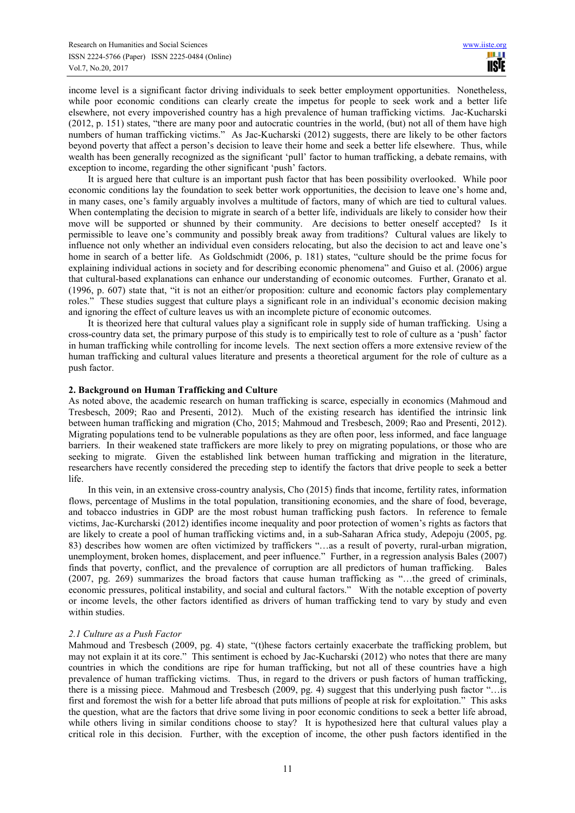income level is a significant factor driving individuals to seek better employment opportunities. Nonetheless, while poor economic conditions can clearly create the impetus for people to seek work and a better life elsewhere, not every impoverished country has a high prevalence of human trafficking victims. Jac-Kucharski (2012, p. 151) states, "there are many poor and autocratic countries in the world, (but) not all of them have high numbers of human trafficking victims." As Jac-Kucharski (2012) suggests, there are likely to be other factors beyond poverty that affect a person's decision to leave their home and seek a better life elsewhere. Thus, while wealth has been generally recognized as the significant 'pull' factor to human trafficking, a debate remains, with exception to income, regarding the other significant 'push' factors.

It is argued here that culture is an important push factor that has been possibility overlooked. While poor economic conditions lay the foundation to seek better work opportunities, the decision to leave one's home and, in many cases, one's family arguably involves a multitude of factors, many of which are tied to cultural values. When contemplating the decision to migrate in search of a better life, individuals are likely to consider how their move will be supported or shunned by their community. Are decisions to better oneself accepted? Is it permissible to leave one's community and possibly break away from traditions? Cultural values are likely to influence not only whether an individual even considers relocating, but also the decision to act and leave one's home in search of a better life. As Goldschmidt (2006, p. 181) states, "culture should be the prime focus for explaining individual actions in society and for describing economic phenomena" and Guiso et al. (2006) argue that cultural-based explanations can enhance our understanding of economic outcomes. Further, Granato et al. (1996, p. 607) state that, "it is not an either/or proposition: culture and economic factors play complementary roles." These studies suggest that culture plays a significant role in an individual's economic decision making and ignoring the effect of culture leaves us with an incomplete picture of economic outcomes.

It is theorized here that cultural values play a significant role in supply side of human trafficking. Using a cross-country data set, the primary purpose of this study is to empirically test to role of culture as a 'push' factor in human trafficking while controlling for income levels. The next section offers a more extensive review of the human trafficking and cultural values literature and presents a theoretical argument for the role of culture as a push factor.

#### **2. Background on Human Trafficking and Culture**

As noted above, the academic research on human trafficking is scarce, especially in economics (Mahmoud and Tresbesch, 2009; Rao and Presenti, 2012). Much of the existing research has identified the intrinsic link between human trafficking and migration (Cho, 2015; Mahmoud and Tresbesch, 2009; Rao and Presenti, 2012). Migrating populations tend to be vulnerable populations as they are often poor, less informed, and face language barriers. In their weakened state traffickers are more likely to prey on migrating populations, or those who are seeking to migrate. Given the established link between human trafficking and migration in the literature, researchers have recently considered the preceding step to identify the factors that drive people to seek a better life.

In this vein, in an extensive cross-country analysis, Cho (2015) finds that income, fertility rates, information flows, percentage of Muslims in the total population, transitioning economies, and the share of food, beverage, and tobacco industries in GDP are the most robust human trafficking push factors. In reference to female victims, Jac-Kurcharski (2012) identifies income inequality and poor protection of women's rights as factors that are likely to create a pool of human trafficking victims and, in a sub-Saharan Africa study, Adepoju (2005, pg. 83) describes how women are often victimized by traffickers "...as a result of poverty, rural-urban migration, unemployment, broken homes, displacement, and peer influence." Further, in a regression analysis Bales (2007) finds that poverty, conflict, and the prevalence of corruption are all predictors of human trafficking. Bales (2007, pg. 269) summarizes the broad factors that cause human trafficking as "…the greed of criminals, economic pressures, political instability, and social and cultural factors." With the notable exception of poverty or income levels, the other factors identified as drivers of human trafficking tend to vary by study and even within studies.

#### *2.1 Culture as a Push Factor*

Mahmoud and Tresbesch (2009, pg. 4) state, "(t)hese factors certainly exacerbate the trafficking problem, but may not explain it at its core." This sentiment is echoed by Jac-Kucharski (2012) who notes that there are many countries in which the conditions are ripe for human trafficking, but not all of these countries have a high prevalence of human trafficking victims. Thus, in regard to the drivers or push factors of human trafficking, there is a missing piece. Mahmoud and Tresbesch (2009, pg. 4) suggest that this underlying push factor "…is first and foremost the wish for a better life abroad that puts millions of people at risk for exploitation." This asks the question, what are the factors that drive some living in poor economic conditions to seek a better life abroad, while others living in similar conditions choose to stay? It is hypothesized here that cultural values play a critical role in this decision. Further, with the exception of income, the other push factors identified in the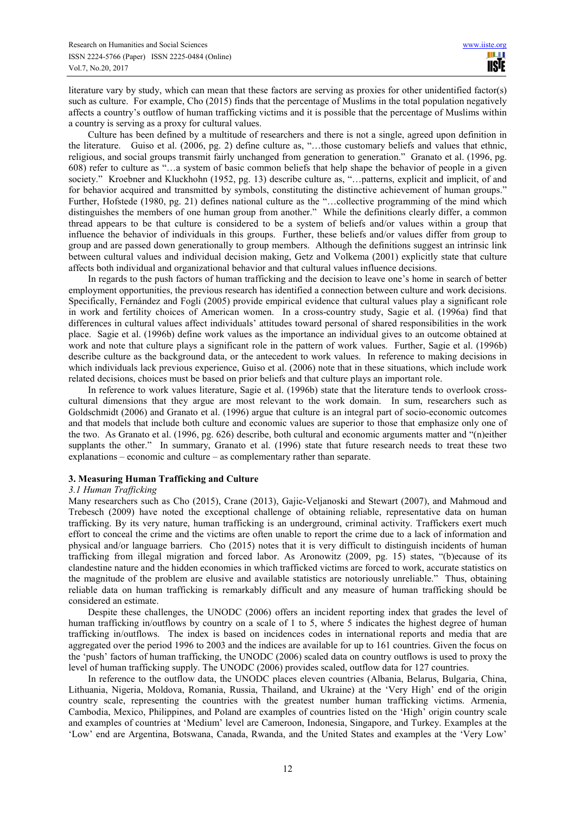literature vary by study, which can mean that these factors are serving as proxies for other unidentified factor(s) such as culture. For example, Cho (2015) finds that the percentage of Muslims in the total population negatively affects a country's outflow of human trafficking victims and it is possible that the percentage of Muslims within a country is serving as a proxy for cultural values.

Culture has been defined by a multitude of researchers and there is not a single, agreed upon definition in the literature. Guiso et al. (2006, pg. 2) define culture as, "…those customary beliefs and values that ethnic, religious, and social groups transmit fairly unchanged from generation to generation." Granato et al. (1996, pg. 608) refer to culture as "…a system of basic common beliefs that help shape the behavior of people in a given society." Kroebner and Kluckhohn (1952, pg. 13) describe culture as, "...patterns, explicit and implicit, of and for behavior acquired and transmitted by symbols, constituting the distinctive achievement of human groups." Further, Hofstede (1980, pg. 21) defines national culture as the "…collective programming of the mind which distinguishes the members of one human group from another." While the definitions clearly differ, a common thread appears to be that culture is considered to be a system of beliefs and/or values within a group that influence the behavior of individuals in this groups. Further, these beliefs and/or values differ from group to group and are passed down generationally to group members. Although the definitions suggest an intrinsic link between cultural values and individual decision making, Getz and Volkema (2001) explicitly state that culture affects both individual and organizational behavior and that cultural values influence decisions.

In regards to the push factors of human trafficking and the decision to leave one's home in search of better employment opportunities, the previous research has identified a connection between culture and work decisions. Specifically, Fernández and Fogli (2005) provide empirical evidence that cultural values play a significant role in work and fertility choices of American women. In a cross-country study, Sagie et al. (1996a) find that differences in cultural values affect individuals' attitudes toward personal of shared responsibilities in the work place. Sagie et al. (1996b) define work values as the importance an individual gives to an outcome obtained at work and note that culture plays a significant role in the pattern of work values. Further, Sagie et al. (1996b) describe culture as the background data, or the antecedent to work values. In reference to making decisions in which individuals lack previous experience, Guiso et al. (2006) note that in these situations, which include work related decisions, choices must be based on prior beliefs and that culture plays an important role.

In reference to work values literature, Sagie et al. (1996b) state that the literature tends to overlook crosscultural dimensions that they argue are most relevant to the work domain. In sum, researchers such as Goldschmidt (2006) and Granato et al. (1996) argue that culture is an integral part of socio-economic outcomes and that models that include both culture and economic values are superior to those that emphasize only one of the two. As Granato et al. (1996, pg. 626) describe, both cultural and economic arguments matter and "(n)either supplants the other." In summary, Granato et al. (1996) state that future research needs to treat these two explanations – economic and culture – as complementary rather than separate.

## **3. Measuring Human Trafficking and Culture**

#### *3.1 Human Trafficking*

Many researchers such as Cho (2015), Crane (2013), Gajic-Veljanoski and Stewart (2007), and Mahmoud and Trebesch (2009) have noted the exceptional challenge of obtaining reliable, representative data on human trafficking. By its very nature, human trafficking is an underground, criminal activity. Traffickers exert much effort to conceal the crime and the victims are often unable to report the crime due to a lack of information and physical and/or language barriers. Cho (2015) notes that it is very difficult to distinguish incidents of human trafficking from illegal migration and forced labor. As Aronowitz (2009, pg. 15) states, "(b)ecause of its clandestine nature and the hidden economies in which trafficked victims are forced to work, accurate statistics on the magnitude of the problem are elusive and available statistics are notoriously unreliable." Thus, obtaining reliable data on human trafficking is remarkably difficult and any measure of human trafficking should be considered an estimate.

Despite these challenges, the UNODC (2006) offers an incident reporting index that grades the level of human trafficking in/outflows by country on a scale of 1 to 5, where 5 indicates the highest degree of human trafficking in/outflows. The index is based on incidences codes in international reports and media that are aggregated over the period 1996 to 2003 and the indices are available for up to 161 countries. Given the focus on the 'push' factors of human trafficking, the UNODC (2006) scaled data on country outflows is used to proxy the level of human trafficking supply. The UNODC (2006) provides scaled, outflow data for 127 countries.

In reference to the outflow data, the UNODC places eleven countries (Albania, Belarus, Bulgaria, China, Lithuania, Nigeria, Moldova, Romania, Russia, Thailand, and Ukraine) at the 'Very High' end of the origin country scale, representing the countries with the greatest number human trafficking victims. Armenia, Cambodia, Mexico, Philippines, and Poland are examples of countries listed on the 'High' origin country scale and examples of countries at 'Medium' level are Cameroon, Indonesia, Singapore, and Turkey. Examples at the 'Low' end are Argentina, Botswana, Canada, Rwanda, and the United States and examples at the 'Very Low'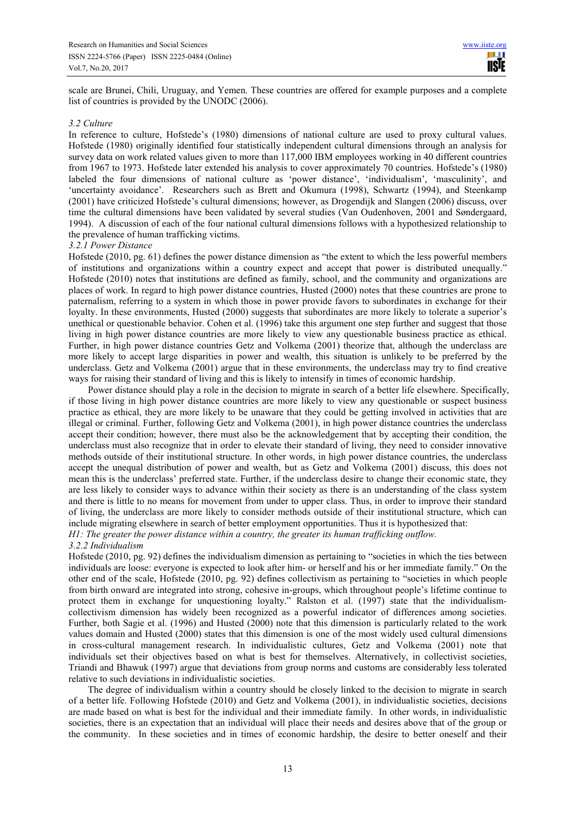scale are Brunei, Chili, Uruguay, and Yemen. These countries are offered for example purposes and a complete list of countries is provided by the UNODC (2006).

#### *3.2 Culture*

In reference to culture, Hofstede's (1980) dimensions of national culture are used to proxy cultural values. Hofstede (1980) originally identified four statistically independent cultural dimensions through an analysis for survey data on work related values given to more than 117,000 IBM employees working in 40 different countries from 1967 to 1973. Hofstede later extended his analysis to cover approximately 70 countries. Hofstede's (1980) labeled the four dimensions of national culture as 'power distance', 'individualism', 'masculinity', and 'uncertainty avoidance'. Researchers such as Brett and Okumura (1998), Schwartz (1994), and Steenkamp (2001) have criticized Hofstede's cultural dimensions; however, as Drogendijk and Slangen (2006) discuss, over time the cultural dimensions have been validated by several studies (Van Oudenhoven, 2001 and Søndergaard, 1994). A discussion of each of the four national cultural dimensions follows with a hypothesized relationship to the prevalence of human trafficking victims.

## *3.2.1 Power Distance*

Hofstede (2010, pg. 61) defines the power distance dimension as "the extent to which the less powerful members of institutions and organizations within a country expect and accept that power is distributed unequally." Hofstede (2010) notes that institutions are defined as family, school, and the community and organizations are places of work. In regard to high power distance countries, Husted (2000) notes that these countries are prone to paternalism, referring to a system in which those in power provide favors to subordinates in exchange for their loyalty. In these environments, Husted (2000) suggests that subordinates are more likely to tolerate a superior's unethical or questionable behavior. Cohen et al. (1996) take this argument one step further and suggest that those living in high power distance countries are more likely to view any questionable business practice as ethical. Further, in high power distance countries Getz and Volkema (2001) theorize that, although the underclass are more likely to accept large disparities in power and wealth, this situation is unlikely to be preferred by the underclass. Getz and Volkema (2001) argue that in these environments, the underclass may try to find creative ways for raising their standard of living and this is likely to intensify in times of economic hardship.

Power distance should play a role in the decision to migrate in search of a better life elsewhere. Specifically, if those living in high power distance countries are more likely to view any questionable or suspect business practice as ethical, they are more likely to be unaware that they could be getting involved in activities that are illegal or criminal. Further, following Getz and Volkema (2001), in high power distance countries the underclass accept their condition; however, there must also be the acknowledgement that by accepting their condition, the underclass must also recognize that in order to elevate their standard of living, they need to consider innovative methods outside of their institutional structure. In other words, in high power distance countries, the underclass accept the unequal distribution of power and wealth, but as Getz and Volkema (2001) discuss, this does not mean this is the underclass' preferred state. Further, if the underclass desire to change their economic state, they are less likely to consider ways to advance within their society as there is an understanding of the class system and there is little to no means for movement from under to upper class. Thus, in order to improve their standard of living, the underclass are more likely to consider methods outside of their institutional structure, which can include migrating elsewhere in search of better employment opportunities. Thus it is hypothesized that: *H1: The greater the power distance within a country, the greater its human trafficking outflow.* 

#### *3.2.2 Individualism*

Hofstede (2010, pg. 92) defines the individualism dimension as pertaining to "societies in which the ties between individuals are loose: everyone is expected to look after him- or herself and his or her immediate family." On the other end of the scale, Hofstede (2010, pg. 92) defines collectivism as pertaining to "societies in which people from birth onward are integrated into strong, cohesive in-groups, which throughout people's lifetime continue to protect them in exchange for unquestioning loyalty." Ralston et al. (1997) state that the individualismcollectivism dimension has widely been recognized as a powerful indicator of differences among societies. Further, both Sagie et al. (1996) and Husted (2000) note that this dimension is particularly related to the work values domain and Husted (2000) states that this dimension is one of the most widely used cultural dimensions in cross-cultural management research. In individualistic cultures, Getz and Volkema (2001) note that individuals set their objectives based on what is best for themselves. Alternatively, in collectivist societies, Triandi and Bhawuk (1997) argue that deviations from group norms and customs are considerably less tolerated relative to such deviations in individualistic societies.

The degree of individualism within a country should be closely linked to the decision to migrate in search of a better life. Following Hofstede (2010) and Getz and Volkema (2001), in individualistic societies, decisions are made based on what is best for the individual and their immediate family. In other words, in individualistic societies, there is an expectation that an individual will place their needs and desires above that of the group or the community. In these societies and in times of economic hardship, the desire to better oneself and their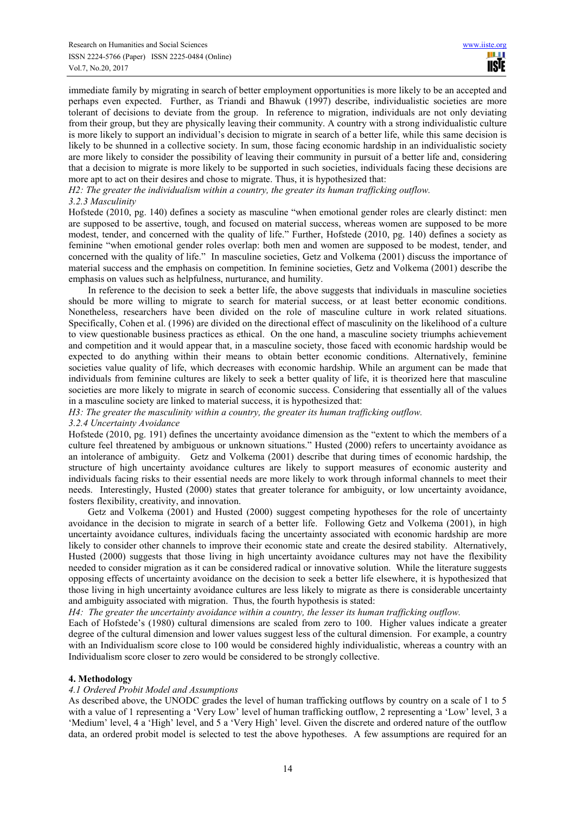immediate family by migrating in search of better employment opportunities is more likely to be an accepted and perhaps even expected. Further, as Triandi and Bhawuk (1997) describe, individualistic societies are more tolerant of decisions to deviate from the group. In reference to migration, individuals are not only deviating from their group, but they are physically leaving their community. A country with a strong individualistic culture is more likely to support an individual's decision to migrate in search of a better life, while this same decision is likely to be shunned in a collective society. In sum, those facing economic hardship in an individualistic society are more likely to consider the possibility of leaving their community in pursuit of a better life and, considering that a decision to migrate is more likely to be supported in such societies, individuals facing these decisions are more apt to act on their desires and chose to migrate. Thus, it is hypothesized that:

*H2: The greater the individualism within a country, the greater its human trafficking outflow. 3.2.3 Masculinity* 

Hofstede (2010, pg. 140) defines a society as masculine "when emotional gender roles are clearly distinct: men are supposed to be assertive, tough, and focused on material success, whereas women are supposed to be more modest, tender, and concerned with the quality of life." Further, Hofstede (2010, pg. 140) defines a society as feminine "when emotional gender roles overlap: both men and women are supposed to be modest, tender, and concerned with the quality of life." In masculine societies, Getz and Volkema (2001) discuss the importance of material success and the emphasis on competition. In feminine societies, Getz and Volkema (2001) describe the emphasis on values such as helpfulness, nurturance, and humility.

In reference to the decision to seek a better life, the above suggests that individuals in masculine societies should be more willing to migrate to search for material success, or at least better economic conditions. Nonetheless, researchers have been divided on the role of masculine culture in work related situations. Specifically, Cohen et al. (1996) are divided on the directional effect of masculinity on the likelihood of a culture to view questionable business practices as ethical. On the one hand, a masculine society triumphs achievement and competition and it would appear that, in a masculine society, those faced with economic hardship would be expected to do anything within their means to obtain better economic conditions. Alternatively, feminine societies value quality of life, which decreases with economic hardship. While an argument can be made that individuals from feminine cultures are likely to seek a better quality of life, it is theorized here that masculine societies are more likely to migrate in search of economic success. Considering that essentially all of the values in a masculine society are linked to material success, it is hypothesized that:

*H3: The greater the masculinity within a country, the greater its human trafficking outflow.* 

## *3.2.4 Uncertainty Avoidance*

Hofstede (2010, pg. 191) defines the uncertainty avoidance dimension as the "extent to which the members of a culture feel threatened by ambiguous or unknown situations." Husted (2000) refers to uncertainty avoidance as an intolerance of ambiguity. Getz and Volkema (2001) describe that during times of economic hardship, the structure of high uncertainty avoidance cultures are likely to support measures of economic austerity and individuals facing risks to their essential needs are more likely to work through informal channels to meet their needs. Interestingly, Husted (2000) states that greater tolerance for ambiguity, or low uncertainty avoidance, fosters flexibility, creativity, and innovation.

Getz and Volkema (2001) and Husted (2000) suggest competing hypotheses for the role of uncertainty avoidance in the decision to migrate in search of a better life. Following Getz and Volkema (2001), in high uncertainty avoidance cultures, individuals facing the uncertainty associated with economic hardship are more likely to consider other channels to improve their economic state and create the desired stability. Alternatively, Husted (2000) suggests that those living in high uncertainty avoidance cultures may not have the flexibility needed to consider migration as it can be considered radical or innovative solution. While the literature suggests opposing effects of uncertainty avoidance on the decision to seek a better life elsewhere, it is hypothesized that those living in high uncertainty avoidance cultures are less likely to migrate as there is considerable uncertainty and ambiguity associated with migration. Thus, the fourth hypothesis is stated:

*H4: The greater the uncertainty avoidance within a country, the lesser its human trafficking outflow.* 

Each of Hofstede's (1980) cultural dimensions are scaled from zero to 100. Higher values indicate a greater degree of the cultural dimension and lower values suggest less of the cultural dimension. For example, a country with an Individualism score close to 100 would be considered highly individualistic, whereas a country with an Individualism score closer to zero would be considered to be strongly collective.

## **4. Methodology**

## *4.1 Ordered Probit Model and Assumptions*

As described above, the UNODC grades the level of human trafficking outflows by country on a scale of 1 to 5 with a value of 1 representing a 'Very Low' level of human trafficking outflow, 2 representing a 'Low' level, 3 a 'Medium' level, 4 a 'High' level, and 5 a 'Very High' level. Given the discrete and ordered nature of the outflow data, an ordered probit model is selected to test the above hypotheses. A few assumptions are required for an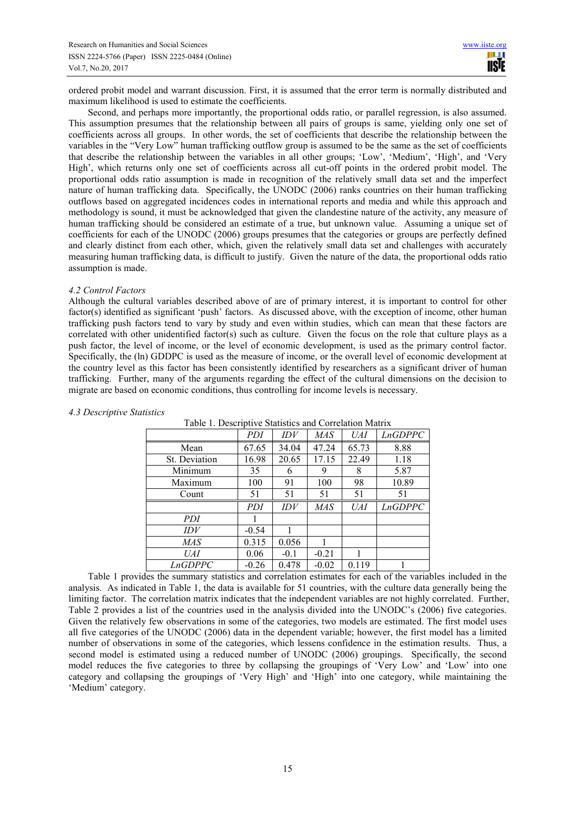ordered probit model and warrant discussion. First, it is assumed that the error term is normally distributed and maximum likelihood is used to estimate the coefficients.

Second, and perhaps more importantly, the proportional odds ratio, or parallel regression, is also assumed. This assumption presumes that the relationship between all pairs of groups is same, yielding only one set of coefficients across all groups. In other words, the set of coefficients that describe the relationship between the variables in the "Very Low" human trafficking outflow group is assumed to be the same as the set of coefficients that describe the relationship between the variables in all other groups; 'Low', 'Medium', 'High', and 'Very High', which returns only one set of coefficients across all cut-off points in the ordered probit model. The proportional odds ratio assumption is made in recognition of the relatively small data set and the imperfect nature of human trafficking data. Specifically, the UNODC (2006) ranks countries on their human trafficking outflows based on aggregated incidences codes in international reports and media and while this approach and methodology is sound, it must be acknowledged that given the clandestine nature of the activity, any measure of human trafficking should be considered an estimate of a true, but unknown value. Assuming a unique set of coefficients for each of the UNODC (2006) groups presumes that the categories or groups are perfectly defined and clearly distinct from each other, which, given the relatively small data set and challenges with accurately measuring human trafficking data, is difficult to justify. Given the nature of the data, the proportional odds ratio assumption is made.

#### *4.2 Control Factors*

Although the cultural variables described above of are of primary interest, it is important to control for other factor(s) identified as significant 'push' factors. As discussed above, with the exception of income, other human trafficking push factors tend to vary by study and even within studies, which can mean that these factors are correlated with other unidentified factor(s) such as culture. Given the focus on the role that culture plays as a push factor, the level of income, or the level of economic development, is used as the primary control factor. Specifically, the (ln) GDDPC is used as the measure of income, or the overall level of economic development at the country level as this factor has been consistently identified by researchers as a significant driver of human trafficking. Further, many of the arguments regarding the effect of the cultural dimensions on the decision to migrate are based on economic conditions, thus controlling for income levels is necessary.

|               | PDI     | IDV    | MAS     | UAI   | <i>LnGDPPC</i> |
|---------------|---------|--------|---------|-------|----------------|
| Mean          | 67.65   | 34.04  | 47.24   | 65.73 | 8.88           |
| St. Deviation | 16.98   | 20.65  | 17.15   | 22.49 | 1.18           |
| Minimum       | 35      | 6      | 9       | 8     | 5.87           |
| Maximum       | 100     | 91     | 100     | 98    | 10.89          |
| Count         | 51      | 51     | 51      | 51    | 51             |
|               |         |        |         |       |                |
|               | PDI     | IDV    | MAS     | UAI   | <b>LnGDPPC</b> |
| PDI           |         |        |         |       |                |
| IDV           | $-0.54$ |        |         |       |                |
| MAS           | 0.315   | 0.056  |         |       |                |
| UAI           | 0.06    | $-0.1$ | $-0.21$ |       |                |
| LnGDPPC       | $-0.26$ | 0.478  | $-0.02$ | 0.119 |                |

## *4.3 Descriptive Statistics*

Table 1 provides the summary statistics and correlation estimates for each of the variables included in the analysis. As indicated in Table 1, the data is available for 51 countries, with the culture data generally being the limiting factor. The correlation matrix indicates that the independent variables are not highly correlated. Further, Table 2 provides a list of the countries used in the analysis divided into the UNODC's (2006) five categories. Given the relatively few observations in some of the categories, two models are estimated. The first model uses all five categories of the UNODC (2006) data in the dependent variable; however, the first model has a limited number of observations in some of the categories, which lessens confidence in the estimation results. Thus, a second model is estimated using a reduced number of UNODC (2006) groupings. Specifically, the second model reduces the five categories to three by collapsing the groupings of 'Very Low' and 'Low' into one category and collapsing the groupings of 'Very High' and 'High' into one category, while maintaining the 'Medium' category.

| Table 1. Descriptive Statistics and Correlation Matrix |  |                |  |  |
|--------------------------------------------------------|--|----------------|--|--|
|                                                        |  | $\overline{p}$ |  |  |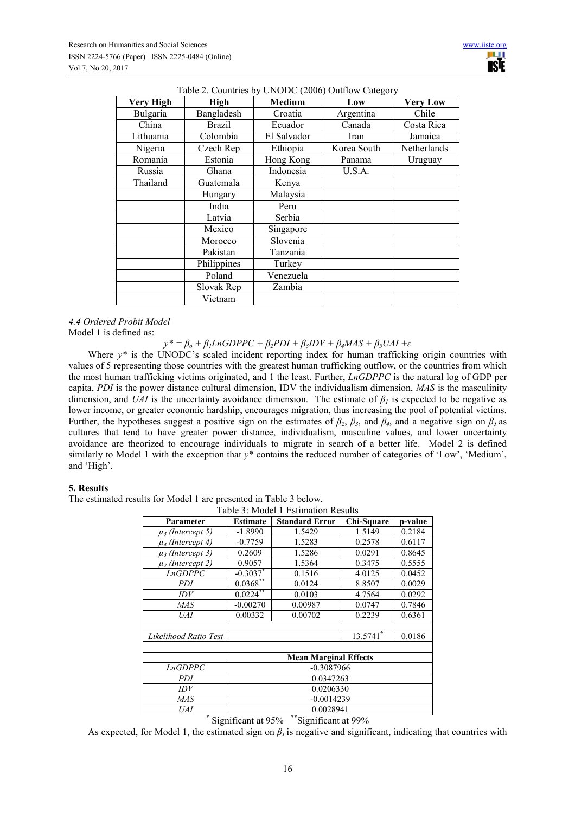| <b>Very High</b> | High          | <b>Medium</b> | Low         | <b>Very Low</b> |
|------------------|---------------|---------------|-------------|-----------------|
| Bulgaria         | Bangladesh    | Croatia       | Argentina   | Chile           |
| China            | <b>Brazil</b> | Ecuador       | Canada      | Costa Rica      |
| Lithuania        | Colombia      | El Salvador   | Iran        | Jamaica         |
| Nigeria          | Czech Rep     | Ethiopia      | Korea South | Netherlands     |
| Romania          | Estonia       | Hong Kong     | Panama      | Uruguay         |
| Russia           | Ghana         | Indonesia     | U.S.A.      |                 |
| Thailand         | Guatemala     | Kenya         |             |                 |
|                  | Hungary       | Malaysia      |             |                 |
|                  | India         | Peru          |             |                 |
|                  | Latvia        | Serbia        |             |                 |
|                  | Mexico        | Singapore     |             |                 |
|                  | Morocco       | Slovenia      |             |                 |
|                  | Pakistan      | Tanzania      |             |                 |
|                  | Philippines   | Turkey        |             |                 |
|                  | Poland        | Venezuela     |             |                 |
|                  | Slovak Rep    | Zambia        |             |                 |
|                  | Vietnam       |               |             |                 |

# $T1120$  C  $\cdot$  L INODC (2006) O

#### *4.4 Ordered Probit Model*  Model 1 is defined as:

 $y^* = \beta_o + \beta_l LnGDPPC + \beta_2 PDI + \beta_3 IDV + \beta_4 MAS + \beta_5 UAI + \varepsilon$ 

Where  $v^*$  is the UNODC's scaled incident reporting index for human trafficking origin countries with values of 5 representing those countries with the greatest human trafficking outflow, or the countries from which the most human trafficking victims originated, and 1 the least. Further, *LnGDPPC* is the natural log of GDP per capita, *PDI* is the power distance cultural dimension, IDV the individualism dimension, *MAS* is the masculinity dimension, and *UAI* is the uncertainty avoidance dimension. The estimate of  $\beta_l$  is expected to be negative as lower income, or greater economic hardship, encourages migration, thus increasing the pool of potential victims. Further, the hypotheses suggest a positive sign on the estimates of  $\beta_2$ ,  $\beta_3$ , and  $\beta_4$ , and a negative sign on  $\beta_5$  as cultures that tend to have greater power distance, individualism, masculine values, and lower uncertainty avoidance are theorized to encourage individuals to migrate in search of a better life. Model 2 is defined similarly to Model 1 with the exception that *y\** contains the reduced number of categories of 'Low', 'Medium', and 'High'.

## **5. Results**

The estimated results for Model 1 are presented in Table 3 below.

| Table 3: Model 1 Estimation Results                              |                              |                       |            |         |  |  |
|------------------------------------------------------------------|------------------------------|-----------------------|------------|---------|--|--|
| Parameter                                                        | <b>Estimate</b>              | <b>Standard Error</b> | Chi-Square | p-value |  |  |
| $\mu_{\delta}$ (Intercept 5)                                     | $-1.8990$                    | 1.5429                | 1.5149     | 0.2184  |  |  |
| $\mu_4$ (Intercept 4)                                            | $-0.7759$                    | 1.5283                | 0.2578     | 0.6117  |  |  |
| $\mu_3$ (Intercept 3)                                            | 0.2609                       | 1.5286                | 0.0291     | 0.8645  |  |  |
| $\mu_2$ (Intercept 2)                                            | 0.9057                       | 1.5364                | 0.3475     | 0.5555  |  |  |
| <b>LnGDPPC</b>                                                   | $-0.3037$ *                  | 0.1516                | 4.0125     | 0.0452  |  |  |
| PDI                                                              | $0.0368***$                  | 0.0124                | 8.8507     | 0.0029  |  |  |
| <i>IDV</i>                                                       | $0.0224***$                  | 0.0103                | 4.7564     | 0.0292  |  |  |
| MAS                                                              | $-0.00270$                   | 0.00987               | 0.0747     | 0.7846  |  |  |
| UAI                                                              | 0.00332                      | 0.00702               | 0.2239     | 0.6361  |  |  |
|                                                                  |                              |                       |            |         |  |  |
| Likelihood Ratio Test                                            |                              |                       | 13.5741    | 0.0186  |  |  |
|                                                                  |                              |                       |            |         |  |  |
|                                                                  | <b>Mean Marginal Effects</b> |                       |            |         |  |  |
| <i>LnGDPPC</i>                                                   | $-0.3087966$                 |                       |            |         |  |  |
| PDI                                                              | 0.0347263                    |                       |            |         |  |  |
| IDV                                                              | 0.0206330                    |                       |            |         |  |  |
| MAS                                                              | $-0.0014239$                 |                       |            |         |  |  |
| UAI                                                              | 0.0028941                    |                       |            |         |  |  |
| $*$ $0.11$ $0.001$<br>**ດ∙<br>$\cdot$ $\alpha$ $\alpha$ $\alpha$ |                              |                       |            |         |  |  |

#### Significant at 95% \*\*Significant at 99%

As expected, for Model 1, the estimated sign on  $\beta<sub>l</sub>$  is negative and significant, indicating that countries with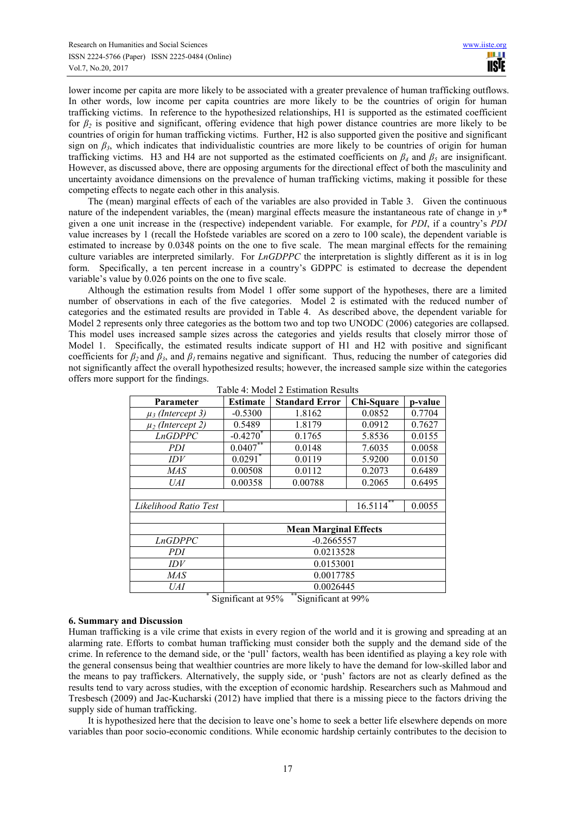lower income per capita are more likely to be associated with a greater prevalence of human trafficking outflows. In other words, low income per capita countries are more likely to be the countries of origin for human trafficking victims. In reference to the hypothesized relationships, H1 is supported as the estimated coefficient for *β2* is positive and significant, offering evidence that high power distance countries are more likely to be countries of origin for human trafficking victims. Further, H2 is also supported given the positive and significant sign on  $\beta_3$ , which indicates that individualistic countries are more likely to be countries of origin for human trafficking victims. H3 and H4 are not supported as the estimated coefficients on  $\beta_4$  and  $\beta_5$  are insignificant. However, as discussed above, there are opposing arguments for the directional effect of both the masculinity and uncertainty avoidance dimensions on the prevalence of human trafficking victims, making it possible for these competing effects to negate each other in this analysis.

The (mean) marginal effects of each of the variables are also provided in Table 3. Given the continuous nature of the independent variables, the (mean) marginal effects measure the instantaneous rate of change in *y\** given a one unit increase in the (respective) independent variable. For example, for *PDI*, if a country's *PDI* value increases by 1 (recall the Hofstede variables are scored on a zero to 100 scale), the dependent variable is estimated to increase by 0.0348 points on the one to five scale. The mean marginal effects for the remaining culture variables are interpreted similarly. For *LnGDPPC* the interpretation is slightly different as it is in log form. Specifically, a ten percent increase in a country's GDPPC is estimated to decrease the dependent variable's value by 0.026 points on the one to five scale.

Although the estimation results from Model 1 offer some support of the hypotheses, there are a limited number of observations in each of the five categories. Model 2 is estimated with the reduced number of categories and the estimated results are provided in Table 4. As described above, the dependent variable for Model 2 represents only three categories as the bottom two and top two UNODC (2006) categories are collapsed. This model uses increased sample sizes across the categories and yields results that closely mirror those of Model 1. Specifically, the estimated results indicate support of H1 and H2 with positive and significant coefficients for  $\beta_2$  and  $\beta_3$ , and  $\beta_1$  remains negative and significant. Thus, reducing the number of categories did not significantly affect the overall hypothesized results; however, the increased sample size within the categories offers more support for the findings.

| Parameter             | Estimate                     | <b>Standard Error</b> | Chi-Square   | p-value |  |
|-----------------------|------------------------------|-----------------------|--------------|---------|--|
| $\mu_3$ (Intercept 3) | $-0.5300$                    | 1.8162                | 0.0852       | 0.7704  |  |
| $\mu_2$ (Intercept 2) | 0.5489                       | 1.8179                | 0.0912       | 0.7627  |  |
| <b>LnGDPPC</b>        | $-0.42\overline{70}^*$       | 0.1765                | 5.8536       | 0.0155  |  |
| PDI                   | $0.0407***$                  | 0.0148                | 7.6035       | 0.0058  |  |
| IDV                   | $0.0291$ *                   | 0.0119                | 5.9200       | 0.0150  |  |
| <b>MAS</b>            | 0.00508                      | 0.0112                | 0.2073       | 0.6489  |  |
| UAI                   | 0.00358                      | 0.00788               | 0.2065       | 0.6495  |  |
|                       |                              |                       |              |         |  |
| Likelihood Ratio Test |                              |                       | $16.5114***$ | 0.0055  |  |
|                       |                              |                       |              |         |  |
|                       | <b>Mean Marginal Effects</b> |                       |              |         |  |
| <b>LnGDPPC</b>        | $-0.2665557$                 |                       |              |         |  |
| PDI                   | 0.0213528                    |                       |              |         |  |
| IDV                   | 0.0153001                    |                       |              |         |  |
| <b>MAS</b>            | 0.0017785                    |                       |              |         |  |
| UAI                   | 0.0026445                    |                       |              |         |  |

Table 4: Model 2 Estimation Results

\* Significant at 95% \*\*Significant at 99%

#### **6. Summary and Discussion**

Human trafficking is a vile crime that exists in every region of the world and it is growing and spreading at an alarming rate. Efforts to combat human trafficking must consider both the supply and the demand side of the crime. In reference to the demand side, or the 'pull' factors, wealth has been identified as playing a key role with the general consensus being that wealthier countries are more likely to have the demand for low-skilled labor and the means to pay traffickers. Alternatively, the supply side, or 'push' factors are not as clearly defined as the results tend to vary across studies, with the exception of economic hardship. Researchers such as Mahmoud and Tresbesch (2009) and Jac-Kucharski (2012) have implied that there is a missing piece to the factors driving the supply side of human trafficking.

It is hypothesized here that the decision to leave one's home to seek a better life elsewhere depends on more variables than poor socio-economic conditions. While economic hardship certainly contributes to the decision to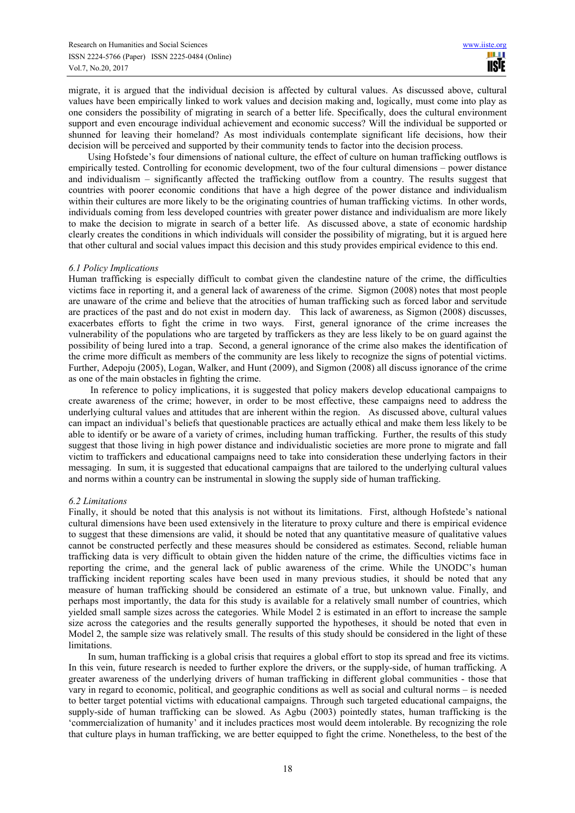migrate, it is argued that the individual decision is affected by cultural values. As discussed above, cultural values have been empirically linked to work values and decision making and, logically, must come into play as one considers the possibility of migrating in search of a better life. Specifically, does the cultural environment support and even encourage individual achievement and economic success? Will the individual be supported or shunned for leaving their homeland? As most individuals contemplate significant life decisions, how their decision will be perceived and supported by their community tends to factor into the decision process.

Using Hofstede's four dimensions of national culture, the effect of culture on human trafficking outflows is empirically tested. Controlling for economic development, two of the four cultural dimensions – power distance and individualism – significantly affected the trafficking outflow from a country. The results suggest that countries with poorer economic conditions that have a high degree of the power distance and individualism within their cultures are more likely to be the originating countries of human trafficking victims. In other words, individuals coming from less developed countries with greater power distance and individualism are more likely to make the decision to migrate in search of a better life. As discussed above, a state of economic hardship clearly creates the conditions in which individuals will consider the possibility of migrating, but it is argued here that other cultural and social values impact this decision and this study provides empirical evidence to this end.

#### *6.1 Policy Implications*

Human trafficking is especially difficult to combat given the clandestine nature of the crime, the difficulties victims face in reporting it, and a general lack of awareness of the crime. Sigmon (2008) notes that most people are unaware of the crime and believe that the atrocities of human trafficking such as forced labor and servitude are practices of the past and do not exist in modern day. This lack of awareness, as Sigmon (2008) discusses, exacerbates efforts to fight the crime in two ways. First, general ignorance of the crime increases the vulnerability of the populations who are targeted by traffickers as they are less likely to be on guard against the possibility of being lured into a trap. Second, a general ignorance of the crime also makes the identification of the crime more difficult as members of the community are less likely to recognize the signs of potential victims. Further, Adepoju (2005), Logan, Walker, and Hunt (2009), and Sigmon (2008) all discuss ignorance of the crime as one of the main obstacles in fighting the crime.

 In reference to policy implications, it is suggested that policy makers develop educational campaigns to create awareness of the crime; however, in order to be most effective, these campaigns need to address the underlying cultural values and attitudes that are inherent within the region. As discussed above, cultural values can impact an individual's beliefs that questionable practices are actually ethical and make them less likely to be able to identify or be aware of a variety of crimes, including human trafficking. Further, the results of this study suggest that those living in high power distance and individualistic societies are more prone to migrate and fall victim to traffickers and educational campaigns need to take into consideration these underlying factors in their messaging. In sum, it is suggested that educational campaigns that are tailored to the underlying cultural values and norms within a country can be instrumental in slowing the supply side of human trafficking.

#### *6.2 Limitations*

Finally, it should be noted that this analysis is not without its limitations. First, although Hofstede's national cultural dimensions have been used extensively in the literature to proxy culture and there is empirical evidence to suggest that these dimensions are valid, it should be noted that any quantitative measure of qualitative values cannot be constructed perfectly and these measures should be considered as estimates. Second, reliable human trafficking data is very difficult to obtain given the hidden nature of the crime, the difficulties victims face in reporting the crime, and the general lack of public awareness of the crime. While the UNODC's human trafficking incident reporting scales have been used in many previous studies, it should be noted that any measure of human trafficking should be considered an estimate of a true, but unknown value. Finally, and perhaps most importantly, the data for this study is available for a relatively small number of countries, which yielded small sample sizes across the categories. While Model 2 is estimated in an effort to increase the sample size across the categories and the results generally supported the hypotheses, it should be noted that even in Model 2, the sample size was relatively small. The results of this study should be considered in the light of these limitations.

In sum, human trafficking is a global crisis that requires a global effort to stop its spread and free its victims. In this vein, future research is needed to further explore the drivers, or the supply-side, of human trafficking. A greater awareness of the underlying drivers of human trafficking in different global communities - those that vary in regard to economic, political, and geographic conditions as well as social and cultural norms – is needed to better target potential victims with educational campaigns. Through such targeted educational campaigns, the supply-side of human trafficking can be slowed. As Agbu (2003) pointedly states, human trafficking is the 'commercialization of humanity' and it includes practices most would deem intolerable. By recognizing the role that culture plays in human trafficking, we are better equipped to fight the crime. Nonetheless, to the best of the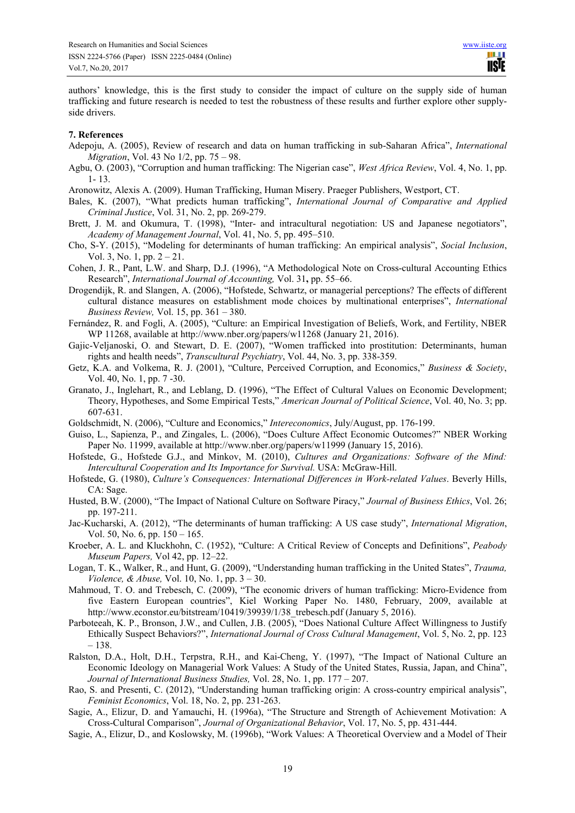authors' knowledge, this is the first study to consider the impact of culture on the supply side of human trafficking and future research is needed to test the robustness of these results and further explore other supplyside drivers.

#### **7. References**

- Adepoju, A. (2005), Review of research and data on human trafficking in sub-Saharan Africa", *International Migration*, Vol. 43 No 1/2, pp. 75 – 98.
- Agbu, O. (2003), "Corruption and human trafficking: The Nigerian case", *West Africa Review*, Vol. 4, No. 1, pp. 1- 13.
- Aronowitz, Alexis A. (2009). Human Trafficking, Human Misery. Praeger Publishers, Westport, CT.
- Bales, K. (2007), "What predicts human trafficking", *International Journal of Comparative and Applied Criminal Justice*, Vol. 31, No. 2, pp. 269-279.
- Brett, J. M. and Okumura, T. (1998), "Inter- and intracultural negotiation: US and Japanese negotiators", *Academy of Management Journal*, Vol. 41, No. 5, pp. 495–510.
- Cho, S-Y. (2015), "Modeling for determinants of human trafficking: An empirical analysis", *Social Inclusion*, Vol. 3, No. 1, pp. 2 – 21.
- Cohen, J. R., Pant, L.W. and Sharp, D.J. (1996), "A Methodological Note on Cross-cultural Accounting Ethics Research", *International Journal of Accounting,* Vol. 31**,** pp. 55–66.
- Drogendijk, R. and Slangen, A. (2006), "Hofstede, Schwartz, or managerial perceptions? The effects of different cultural distance measures on establishment mode choices by multinational enterprises", *International Business Review,* Vol. 15, pp. 361 – 380.
- Fernández, R. and Fogli, A. (2005), "Culture: an Empirical Investigation of Beliefs, Work, and Fertility, NBER WP 11268, available at http://www.nber.org/papers/w11268 (January 21, 2016).
- Gajic-Veljanoski, O. and Stewart, D. E. (2007), "Women trafficked into prostitution: Determinants, human rights and health needs", *Transcultural Psychiatry*, Vol. 44, No. 3, pp. 338-359.
- Getz, K.A. and Volkema, R. J. (2001), "Culture, Perceived Corruption, and Economics," *Business & Society*, Vol. 40, No. 1, pp. 7 -30.
- Granato, J., Inglehart, R., and Leblang, D. (1996), "The Effect of Cultural Values on Economic Development; Theory, Hypotheses, and Some Empirical Tests," *American Journal of Political Science*, Vol. 40, No. 3; pp. 607-631.
- Goldschmidt, N. (2006), "Culture and Economics," *Intereconomics*, July/August, pp. 176-199.
- Guiso, L., Sapienza, P., and Zingales, L. (2006), "Does Culture Affect Economic Outcomes?" NBER Working Paper No. 11999, available at http://www.nber.org/papers/w11999 (January 15, 2016).
- Hofstede, G., Hofstede G.J., and Minkov, M. (2010), *Cultures and Organizations: Software of the Mind: Intercultural Cooperation and Its Importance for Survival.* USA: McGraw-Hill.
- Hofstede, G. (1980), *Culture's Consequences: International Differences in Work-related Values*. Beverly Hills, CA: Sage.
- Husted, B.W. (2000), "The Impact of National Culture on Software Piracy," *Journal of Business Ethics*, Vol. 26; pp. 197-211.
- Jac-Kucharski, A. (2012), "The determinants of human trafficking: A US case study", *International Migration*, Vol. 50, No. 6, pp. 150 – 165.
- Kroeber, A. L. and Kluckhohn, C. (1952), "Culture: A Critical Review of Concepts and Definitions", *Peabody Museum Papers,* Vol 42, pp. 12–22.
- Logan, T. K., Walker, R., and Hunt, G. (2009), "Understanding human trafficking in the United States", *Trauma, Violence, & Abuse,* Vol. 10, No. 1, pp. 3 – 30.
- Mahmoud, T. O. and Trebesch, C. (2009), "The economic drivers of human trafficking: Micro-Evidence from five Eastern European countries", Kiel Working Paper No. 1480, February, 2009, available at http://www.econstor.eu/bitstream/10419/39939/1/38\_trebesch.pdf (January 5, 2016).
- Parboteeah, K. P., Bronson, J.W., and Cullen, J.B. (2005), "Does National Culture Affect Willingness to Justify Ethically Suspect Behaviors?", *International Journal of Cross Cultural Management*, Vol. 5, No. 2, pp. 123 – 138.
- Ralston, D.A., Holt, D.H., Terpstra, R.H., and Kai-Cheng, Y. (1997), "The Impact of National Culture an Economic Ideology on Managerial Work Values: A Study of the United States, Russia, Japan, and China", *Journal of International Business Studies,* Vol. 28, No. 1, pp. 177 – 207.
- Rao, S. and Presenti, C. (2012), "Understanding human trafficking origin: A cross-country empirical analysis", *Feminist Economics*, Vol. 18, No. 2, pp. 231-263.
- Sagie, A., Elizur, D. and Yamauchi, H. (1996a), "The Structure and Strength of Achievement Motivation: A Cross-Cultural Comparison", *Journal of Organizational Behavior*, Vol. 17, No. 5, pp. 431-444.
- Sagie, A., Elizur, D., and Koslowsky, M. (1996b), "Work Values: A Theoretical Overview and a Model of Their